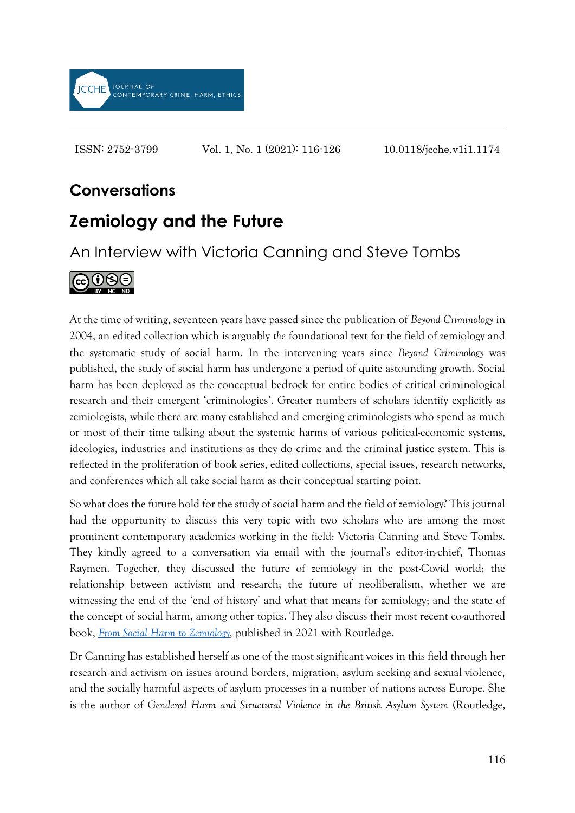

ISSN: 2752-3799 Vol. 1, No. 1 (2021): 116-126 10.0118/jcche.v1i1.1174

## **Conversations**

## **Zemiology and the Future**

An Interview with Victoria Canning and Steve Tombs



At the time of writing, seventeen years have passed since the publication of *Beyond Criminology* in 2004, an edited collection which is arguably *the* foundational text for the field of zemiology and the systematic study of social harm. In the intervening years since *Beyond Criminology* was published, the study of social harm has undergone a period of quite astounding growth. Social harm has been deployed as the conceptual bedrock for entire bodies of critical criminological research and their emergent 'criminologies'. Greater numbers of scholars identify explicitly as zemiologists, while there are many established and emerging criminologists who spend as much or most of their time talking about the systemic harms of various political-economic systems, ideologies, industries and institutions as they do crime and the criminal justice system. This is reflected in the proliferation of book series, edited collections, special issues, research networks, and conferences which all take social harm as their conceptual starting point.

So what does the future hold for the study of social harm and the field of zemiology? This journal had the opportunity to discuss this very topic with two scholars who are among the most prominent contemporary academics working in the field: Victoria Canning and Steve Tombs. They kindly agreed to a conversation via email with the journal's editor-in-chief, Thomas Raymen. Together, they discussed the future of zemiology in the post-Covid world; the relationship between activism and research; the future of neoliberalism, whether we are witnessing the end of the 'end of history' and what that means for zemiology; and the state of the concept of social harm, among other topics. They also discuss their most recent co-authored book, *[From Social Harm to Zemiology,](https://www.routledge.com/From-Social-Harm-to-Zemiology-A-Critical-Introduction/Canning-Tombs/p/book/9781138366091)* published in 2021 with Routledge.

Dr Canning has established herself as one of the most significant voices in this field through her research and activism on issues around borders, migration, asylum seeking and sexual violence, and the socially harmful aspects of asylum processes in a number of nations across Europe. She is the author of *Gendered Harm and Structural Violence in the British Asylum System* (Routledge,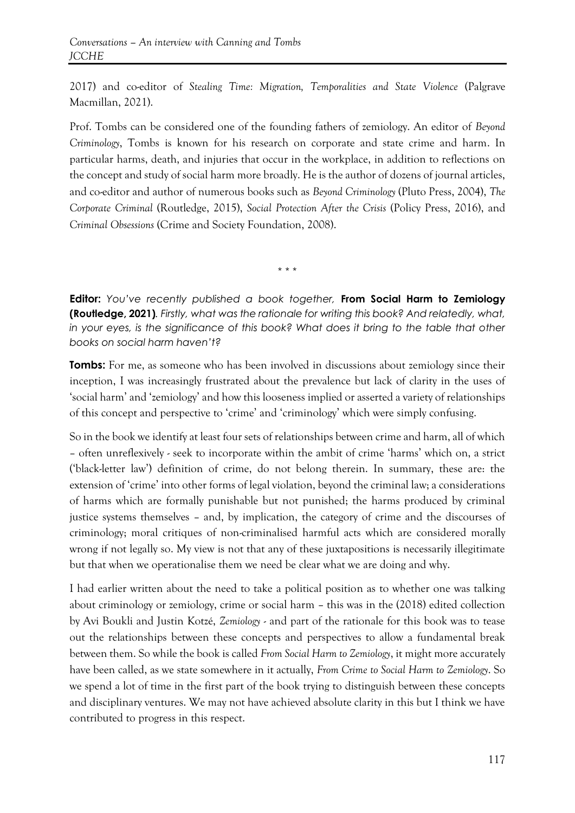2017) and co-editor of *Stealing Time: Migration, Temporalities and State Violence* (Palgrave Macmillan, 2021).

Prof. Tombs can be considered one of the founding fathers of zemiology. An editor of *Beyond Criminology*, Tombs is known for his research on corporate and state crime and harm. In particular harms, death, and injuries that occur in the workplace, in addition to reflections on the concept and study of social harm more broadly. He is the author of dozens of journal articles, and co-editor and author of numerous books such as *Beyond Criminology* (Pluto Press, 2004), *The Corporate Criminal* (Routledge, 2015), *Social Protection After the Crisis* (Policy Press, 2016), and *Criminal Obsessions* (Crime and Society Foundation, 2008).

\* \* \*

**Editor:** *You've recently published a book together,* **From Social Harm to Zemiology (Routledge, 2021)***. Firstly, what was the rationale for writing this book? And relatedly, what,*  in your eyes, is the significance of this book? What does it bring to the table that other *books on social harm haven't?*

**Tombs:** For me, as someone who has been involved in discussions about zemiology since their inception, I was increasingly frustrated about the prevalence but lack of clarity in the uses of 'social harm' and 'zemiology' and how this looseness implied or asserted a variety of relationships of this concept and perspective to 'crime' and 'criminology' which were simply confusing.

So in the book we identify at least four sets of relationships between crime and harm, all of which – often unreflexively - seek to incorporate within the ambit of crime 'harms' which on, a strict ('black-letter law') definition of crime, do not belong therein. In summary, these are: the extension of 'crime' into other forms of legal violation, beyond the criminal law; a considerations of harms which are formally punishable but not punished; the harms produced by criminal justice systems themselves – and, by implication, the category of crime and the discourses of criminology; moral critiques of non-criminalised harmful acts which are considered morally wrong if not legally so. My view is not that any of these juxtapositions is necessarily illegitimate but that when we operationalise them we need be clear what we are doing and why.

I had earlier written about the need to take a political position as to whether one was talking about criminology or zemiology, crime or social harm – this was in the (2018) edited collection by Avi Boukli and Justin Kotzé, *Zemiology* - and part of the rationale for this book was to tease out the relationships between these concepts and perspectives to allow a fundamental break between them. So while the book is called *From Social Harm to Zemiology*, it might more accurately have been called, as we state somewhere in it actually, *From Crime to Social Harm to Zemiology*. So we spend a lot of time in the first part of the book trying to distinguish between these concepts and disciplinary ventures. We may not have achieved absolute clarity in this but I think we have contributed to progress in this respect.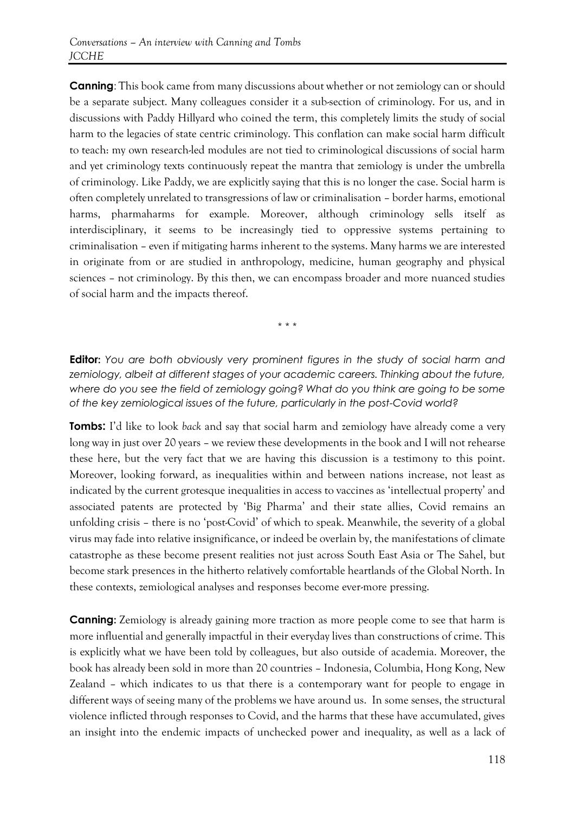**Canning**: This book came from many discussions about whether or not zemiology can or should be a separate subject. Many colleagues consider it a sub-section of criminology. For us, and in discussions with Paddy Hillyard who coined the term, this completely limits the study of social harm to the legacies of state centric criminology. This conflation can make social harm difficult to teach: my own research-led modules are not tied to criminological discussions of social harm and yet criminology texts continuously repeat the mantra that zemiology is under the umbrella of criminology. Like Paddy, we are explicitly saying that this is no longer the case. Social harm is often completely unrelated to transgressions of law or criminalisation – border harms, emotional harms, pharmaharms for example. Moreover, although criminology sells itself as interdisciplinary, it seems to be increasingly tied to oppressive systems pertaining to criminalisation – even if mitigating harms inherent to the systems. Many harms we are interested in originate from or are studied in anthropology, medicine, human geography and physical sciences – not criminology. By this then, we can encompass broader and more nuanced studies of social harm and the impacts thereof.

\* \* \*

**Editor:** *You are both obviously very prominent figures in the study of social harm and*  zemiology, albeit at different stages of your academic careers. Thinking about the future, *where do you see the field of zemiology going? What do you think are going to be some of the key zemiological issues of the future, particularly in the post-Covid world?*

**Tombs:** I'd like to look *back* and say that social harm and zemiology have already come a very long way in just over 20 years – we review these developments in the book and I will not rehearse these here, but the very fact that we are having this discussion is a testimony to this point. Moreover, looking forward, as inequalities within and between nations increase, not least as indicated by the current grotesque inequalities in access to vaccines as 'intellectual property' and associated patents are protected by 'Big Pharma' and their state allies, Covid remains an unfolding crisis – there is no 'post-Covid' of which to speak. Meanwhile, the severity of a global virus may fade into relative insignificance, or indeed be overlain by, the manifestations of climate catastrophe as these become present realities not just across South East Asia or The Sahel, but become stark presences in the hitherto relatively comfortable heartlands of the Global North. In these contexts, zemiological analyses and responses become ever-more pressing.

**Canning:** Zemiology is already gaining more traction as more people come to see that harm is more influential and generally impactful in their everyday lives than constructions of crime. This is explicitly what we have been told by colleagues, but also outside of academia. Moreover, the book has already been sold in more than 20 countries – Indonesia, Columbia, Hong Kong, New Zealand – which indicates to us that there is a contemporary want for people to engage in different ways of seeing many of the problems we have around us. In some senses, the structural violence inflicted through responses to Covid, and the harms that these have accumulated, gives an insight into the endemic impacts of unchecked power and inequality, as well as a lack of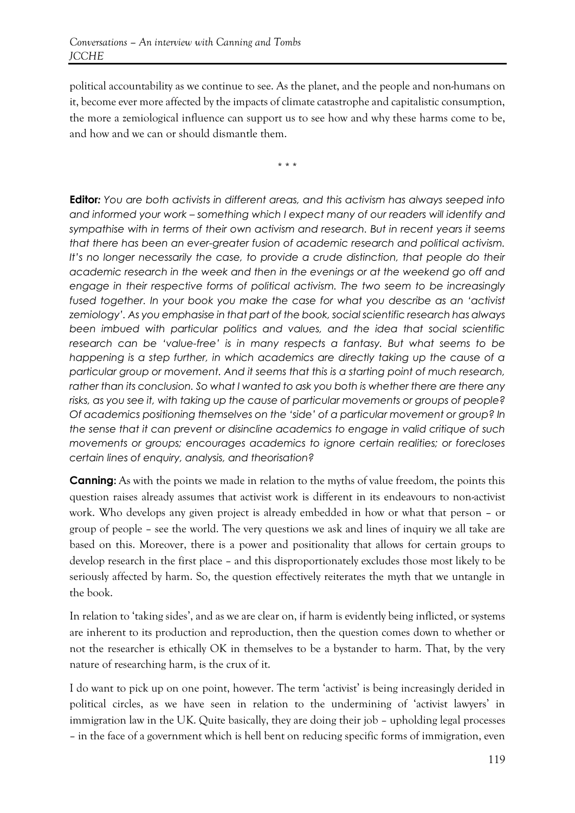political accountability as we continue to see. As the planet, and the people and non-humans on it, become ever more affected by the impacts of climate catastrophe and capitalistic consumption, the more a zemiological influence can support us to see how and why these harms come to be, and how and we can or should dismantle them.

\* \* \*

**Editor***: You are both activists in different areas, and this activism has always seeped into and informed your work – something which I expect many of our readers will identify and sympathise with in terms of their own activism and research. But in recent years it seems that there has been an ever-greater fusion of academic research and political activism.*  It's no longer necessarily the case, to provide a crude distinction, that people do their *academic research in the week and then in the evenings or at the weekend go off and engage in their respective forms of political activism. The two seem to be increasingly fused together. In your book you make the case for what you describe as an 'activist zemiology'. As you emphasise in that part of the book, social scientific research has always been imbued with particular politics and values, and the idea that social scientific research can be 'value-free' is in many respects a fantasy. But what seems to be happening is a step further, in which academics are directly taking up the cause of a particular group or movement. And it seems that this is a starting point of much research, rather than its conclusion. So what I wanted to ask you both is whether there are there any risks, as you see it, with taking up the cause of particular movements or groups of people? Of academics positioning themselves on the 'side' of a particular movement or group? In the sense that it can prevent or disincline academics to engage in valid critique of such movements or groups; encourages academics to ignore certain realities; or forecloses certain lines of enquiry, analysis, and theorisation?* 

**Canning:** As with the points we made in relation to the myths of value freedom, the points this question raises already assumes that activist work is different in its endeavours to non-activist work. Who develops any given project is already embedded in how or what that person – or group of people – see the world. The very questions we ask and lines of inquiry we all take are based on this. Moreover, there is a power and positionality that allows for certain groups to develop research in the first place – and this disproportionately excludes those most likely to be seriously affected by harm. So, the question effectively reiterates the myth that we untangle in the book.

In relation to 'taking sides', and as we are clear on, if harm is evidently being inflicted, or systems are inherent to its production and reproduction, then the question comes down to whether or not the researcher is ethically OK in themselves to be a bystander to harm. That, by the very nature of researching harm, is the crux of it.

I do want to pick up on one point, however. The term 'activist' is being increasingly derided in political circles, as we have seen in relation to the undermining of 'activist lawyers' in immigration law in the UK. Quite basically, they are doing their job – upholding legal processes – in the face of a government which is hell bent on reducing specific forms of immigration, even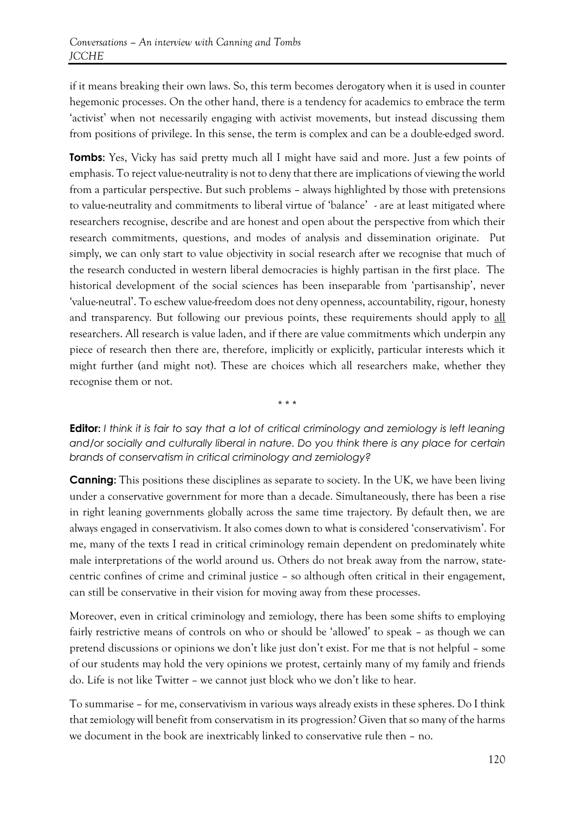if it means breaking their own laws. So, this term becomes derogatory when it is used in counter hegemonic processes. On the other hand, there is a tendency for academics to embrace the term 'activist' when not necessarily engaging with activist movements, but instead discussing them from positions of privilege. In this sense, the term is complex and can be a double-edged sword.

**Tombs:** Yes, Vicky has said pretty much all I might have said and more. Just a few points of emphasis. To reject value-neutrality is not to deny that there are implications of viewing the world from a particular perspective. But such problems – always highlighted by those with pretensions to value-neutrality and commitments to liberal virtue of 'balance' - are at least mitigated where researchers recognise, describe and are honest and open about the perspective from which their research commitments, questions, and modes of analysis and dissemination originate. Put simply, we can only start to value objectivity in social research after we recognise that much of the research conducted in western liberal democracies is highly partisan in the first place. The historical development of the social sciences has been inseparable from 'partisanship', never 'value-neutral'. To eschew value-freedom does not deny openness, accountability, rigour, honesty and transparency. But following our previous points, these requirements should apply to all researchers. All research is value laden, and if there are value commitments which underpin any piece of research then there are, therefore, implicitly or explicitly, particular interests which it might further (and might not). These are choices which all researchers make, whether they recognise them or not.

**Editor:** *I think it is fair to say that a lot of critical criminology and zemiology is left leaning and/or socially and culturally liberal in nature. Do you think there is any place for certain brands of conservatism in critical criminology and zemiology?*

**\* \* \***

**Canning:** This positions these disciplines as separate to society. In the UK, we have been living under a conservative government for more than a decade. Simultaneously, there has been a rise in right leaning governments globally across the same time trajectory. By default then, we are always engaged in conservativism. It also comes down to what is considered 'conservativism'. For me, many of the texts I read in critical criminology remain dependent on predominately white male interpretations of the world around us. Others do not break away from the narrow, statecentric confines of crime and criminal justice – so although often critical in their engagement, can still be conservative in their vision for moving away from these processes.

Moreover, even in critical criminology and zemiology, there has been some shifts to employing fairly restrictive means of controls on who or should be 'allowed' to speak – as though we can pretend discussions or opinions we don't like just don't exist. For me that is not helpful – some of our students may hold the very opinions we protest, certainly many of my family and friends do. Life is not like Twitter – we cannot just block who we don't like to hear.

To summarise – for me, conservativism in various ways already exists in these spheres. Do I think that zemiology will benefit from conservatism in its progression? Given that so many of the harms we document in the book are inextricably linked to conservative rule then – no.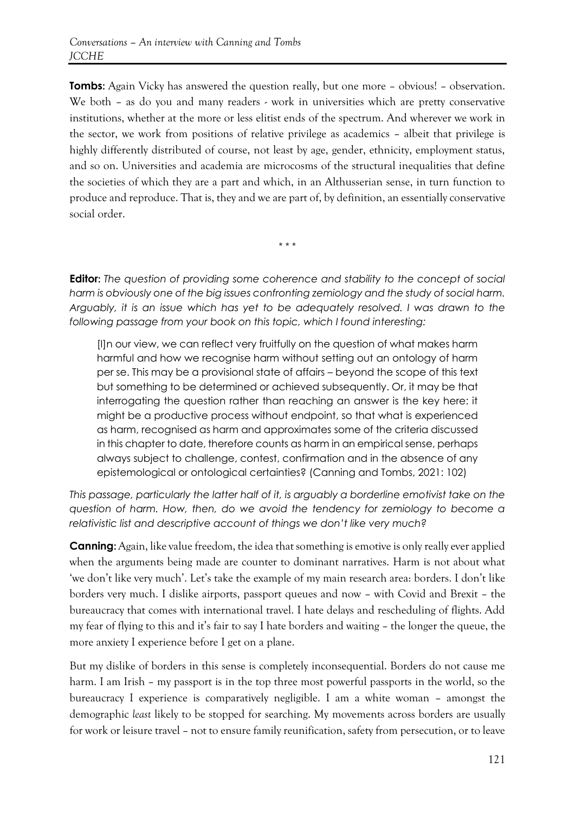**Tombs:** Again Vicky has answered the question really, but one more – obvious! – observation. We both – as do you and many readers - work in universities which are pretty conservative institutions, whether at the more or less elitist ends of the spectrum. And wherever we work in the sector, we work from positions of relative privilege as academics – albeit that privilege is highly differently distributed of course, not least by age, gender, ethnicity, employment status, and so on. Universities and academia are microcosms of the structural inequalities that define the societies of which they are a part and which, in an Althusserian sense, in turn function to produce and reproduce. That is, they and we are part of, by definition, an essentially conservative social order.

**Editor:** *The question of providing some coherence and stability to the concept of social harm is obviously one of the big issues confronting zemiology and the study of social harm. Arguably, it is an issue which has yet to be adequately resolved. I was drawn to the following passage from your book on this topic, which I found interesting:* 

**\* \* \***

[I]n our view, we can reflect very fruitfully on the question of what makes harm harmful and how we recognise harm without setting out an ontology of harm per se. This may be a provisional state of affairs – beyond the scope of this text but something to be determined or achieved subsequently. Or, it may be that interrogating the question rather than reaching an answer is the key here: it might be a productive process without endpoint, so that what is experienced as harm, recognised as harm and approximates some of the criteria discussed in this chapter to date, therefore counts as harm in an empirical sense, perhaps always subject to challenge, contest, confirmation and in the absence of any epistemological or ontological certainties? (Canning and Tombs, 2021: 102)

*This passage, particularly the latter half of it, is arguably a borderline emotivist take on the question of harm. How, then, do we avoid the tendency for zemiology to become a relativistic list and descriptive account of things we don't like very much?*

**Canning:** Again, like value freedom, the idea that something is emotive is only really ever applied when the arguments being made are counter to dominant narratives. Harm is not about what 'we don't like very much'. Let's take the example of my main research area: borders. I don't like borders very much. I dislike airports, passport queues and now – with Covid and Brexit – the bureaucracy that comes with international travel. I hate delays and rescheduling of flights. Add my fear of flying to this and it's fair to say I hate borders and waiting – the longer the queue, the more anxiety I experience before I get on a plane.

But my dislike of borders in this sense is completely inconsequential. Borders do not cause me harm. I am Irish – my passport is in the top three most powerful passports in the world, so the bureaucracy I experience is comparatively negligible. I am a white woman – amongst the demographic *least* likely to be stopped for searching. My movements across borders are usually for work or leisure travel – not to ensure family reunification, safety from persecution, or to leave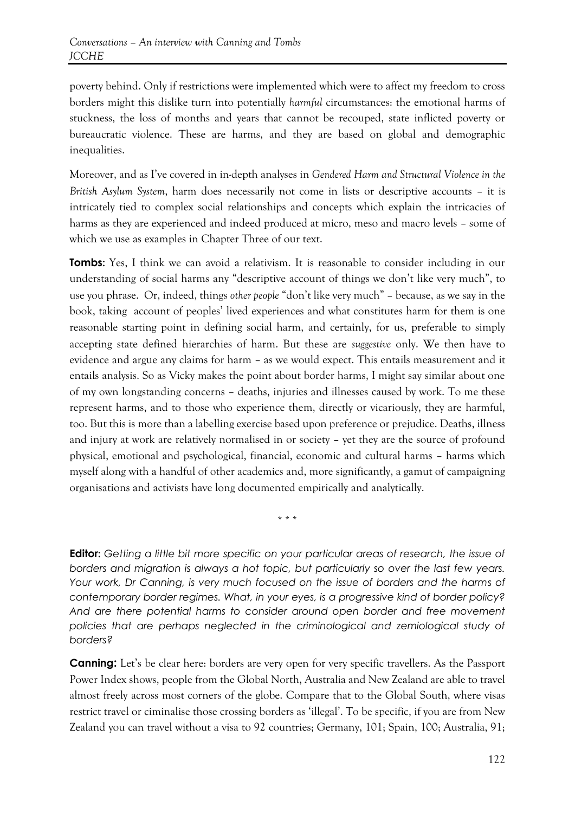poverty behind. Only if restrictions were implemented which were to affect my freedom to cross borders might this dislike turn into potentially *harmful* circumstances: the emotional harms of stuckness, the loss of months and years that cannot be recouped, state inflicted poverty or bureaucratic violence. These are harms, and they are based on global and demographic inequalities.

Moreover, and as I've covered in in-depth analyses in *Gendered Harm and Structural Violence in the British Asylum System*, harm does necessarily not come in lists or descriptive accounts – it is intricately tied to complex social relationships and concepts which explain the intricacies of harms as they are experienced and indeed produced at micro, meso and macro levels – some of which we use as examples in Chapter Three of our text.

**Tombs:** Yes, I think we can avoid a relativism. It is reasonable to consider including in our understanding of social harms any "descriptive account of things we don't like very much", to use you phrase. Or, indeed, things *other people* "don't like very much" – because, as we say in the book, taking account of peoples' lived experiences and what constitutes harm for them is one reasonable starting point in defining social harm, and certainly, for us, preferable to simply accepting state defined hierarchies of harm. But these are *suggestive* only. We then have to evidence and argue any claims for harm – as we would expect. This entails measurement and it entails analysis. So as Vicky makes the point about border harms, I might say similar about one of my own longstanding concerns – deaths, injuries and illnesses caused by work. To me these represent harms, and to those who experience them, directly or vicariously, they are harmful, too. But this is more than a labelling exercise based upon preference or prejudice. Deaths, illness and injury at work are relatively normalised in or society – yet they are the source of profound physical, emotional and psychological, financial, economic and cultural harms – harms which myself along with a handful of other academics and, more significantly, a gamut of campaigning organisations and activists have long documented empirically and analytically.

\* \* \*

**Editor:** *Getting a little bit more specific on your particular areas of research, the issue of borders and migration is always a hot topic, but particularly so over the last few years. Your work, Dr Canning, is very much focused on the issue of borders and the harms of contemporary border regimes. What, in your eyes, is a progressive kind of border policy? And are there potential harms to consider around open border and free movement policies that are perhaps neglected in the criminological and zemiological study of borders?* 

**Canning:** Let's be clear here: borders are very open for very specific travellers. As the Passport Power Index shows, people from the Global North, Australia and New Zealand are able to travel almost freely across most corners of the globe. Compare that to the Global South, where visas restrict travel or ciminalise those crossing borders as 'illegal'. To be specific, if you are from New Zealand you can travel without a visa to 92 countries; Germany, 101; Spain, 100; Australia, 91;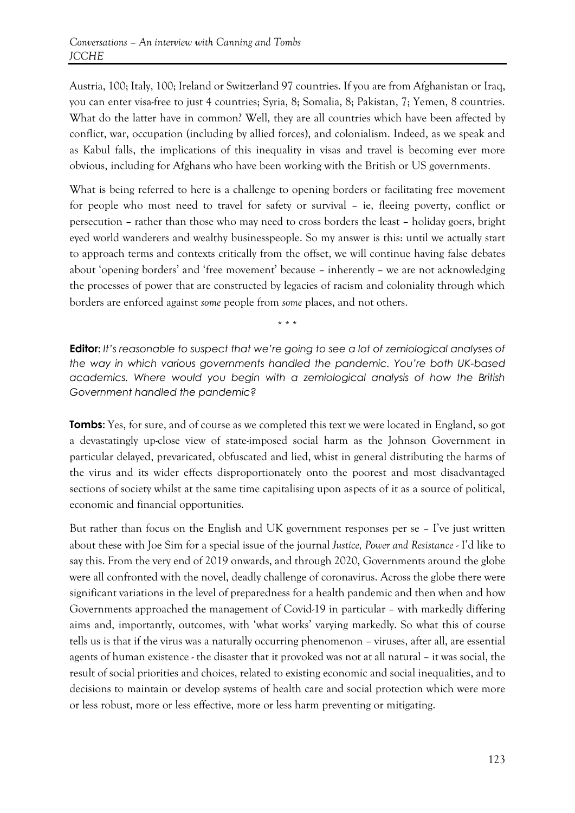Austria, 100; Italy, 100; Ireland or Switzerland 97 countries. If you are from Afghanistan or Iraq, you can enter visa-free to just 4 countries; Syria, 8; Somalia, 8; Pakistan, 7; Yemen, 8 countries. What do the latter have in common? Well, they are all countries which have been affected by conflict, war, occupation (including by allied forces), and colonialism. Indeed, as we speak and as Kabul falls, the implications of this inequality in visas and travel is becoming ever more obvious, including for Afghans who have been working with the British or US governments.

What is being referred to here is a challenge to opening borders or facilitating free movement for people who most need to travel for safety or survival – ie, fleeing poverty, conflict or persecution – rather than those who may need to cross borders the least – holiday goers, bright eyed world wanderers and wealthy businesspeople. So my answer is this: until we actually start to approach terms and contexts critically from the offset, we will continue having false debates about 'opening borders' and 'free movement' because – inherently – we are not acknowledging the processes of power that are constructed by legacies of racism and coloniality through which borders are enforced against *some* people from *some* places, and not others.

\* \* \*

**Editor:** *It's reasonable to suspect that we're going to see a lot of zemiological analyses of the way in which various governments handled the pandemic. You're both UK-based academics. Where would you begin with a zemiological analysis of how the British Government handled the pandemic?*

**Tombs:** Yes, for sure, and of course as we completed this text we were located in England, so got a devastatingly up-close view of state-imposed social harm as the Johnson Government in particular delayed, prevaricated, obfuscated and lied, whist in general distributing the harms of the virus and its wider effects disproportionately onto the poorest and most disadvantaged sections of society whilst at the same time capitalising upon aspects of it as a source of political, economic and financial opportunities.

But rather than focus on the English and UK government responses per se – I've just written about these with Joe Sim for a special issue of the journal *Justice, Power and Resistance* - I'd like to say this. From the very end of 2019 onwards, and through 2020, Governments around the globe were all confronted with the novel, deadly challenge of coronavirus. Across the globe there were significant variations in the level of preparedness for a health pandemic and then when and how Governments approached the management of Covid-19 in particular – with markedly differing aims and, importantly, outcomes, with 'what works' varying markedly. So what this of course tells us is that if the virus was a naturally occurring phenomenon – viruses, after all, are essential agents of human existence - the disaster that it provoked was not at all natural – it was social, the result of social priorities and choices, related to existing economic and social inequalities, and to decisions to maintain or develop systems of health care and social protection which were more or less robust, more or less effective, more or less harm preventing or mitigating.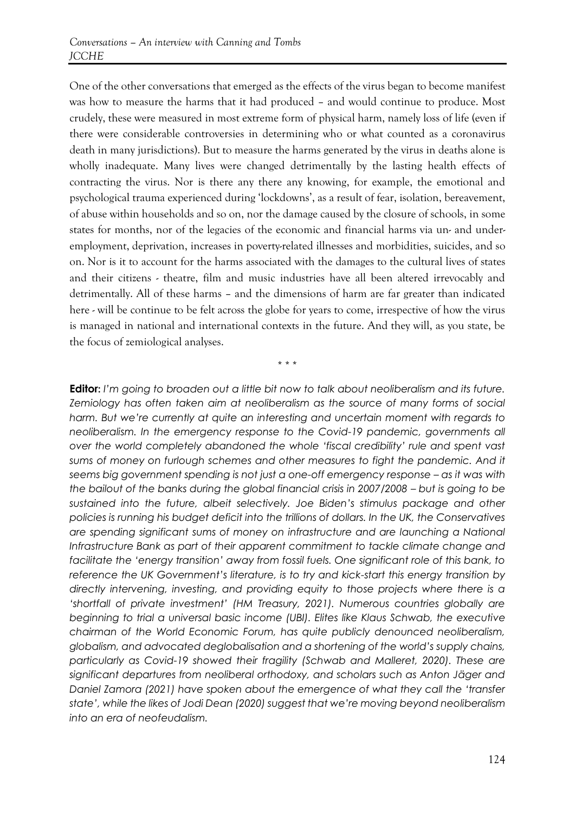One of the other conversations that emerged as the effects of the virus began to become manifest was how to measure the harms that it had produced – and would continue to produce. Most crudely, these were measured in most extreme form of physical harm, namely loss of life (even if there were considerable controversies in determining who or what counted as a coronavirus death in many jurisdictions). But to measure the harms generated by the virus in deaths alone is wholly inadequate. Many lives were changed detrimentally by the lasting health effects of contracting the virus. Nor is there any there any knowing, for example, the emotional and psychological trauma experienced during 'lockdowns', as a result of fear, isolation, bereavement, of abuse within households and so on, nor the damage caused by the closure of schools, in some states for months, nor of the legacies of the economic and financial harms via un- and underemployment, deprivation, increases in poverty-related illnesses and morbidities, suicides, and so on. Nor is it to account for the harms associated with the damages to the cultural lives of states and their citizens - theatre, film and music industries have all been altered irrevocably and detrimentally. All of these harms – and the dimensions of harm are far greater than indicated here - will be continue to be felt across the globe for years to come, irrespective of how the virus is managed in national and international contexts in the future. And they will, as you state, be the focus of zemiological analyses.

\* \* \*

**Editor:** *I'm going to broaden out a little bit now to talk about neoliberalism and its future. Zemiology has often taken aim at neoliberalism as the source of many forms of social harm. But we're currently at quite an interesting and uncertain moment with regards to neoliberalism. In the emergency response to the Covid-19 pandemic, governments all over the world completely abandoned the whole 'fiscal credibility' rule and spent vast sums of money on furlough schemes and other measures to fight the pandemic. And it seems big government spending is not just a one-off emergency response – as it was with the bailout of the banks during the global financial crisis in 2007/2008 – but is going to be sustained into the future, albeit selectively. Joe Biden's stimulus package and other policies is running his budget deficit into the trillions of dollars. In the UK, the Conservatives are spending significant sums of money on infrastructure and are launching a National Infrastructure Bank as part of their apparent commitment to tackle climate change and*  facilitate the 'energy transition' away from fossil fuels. One significant role of this bank, to *reference the UK Government's literature, is to try and kick-start this energy transition by directly intervening, investing, and providing equity to those projects where there is a 'shortfall of private investment' (HM Treasury, 2021). Numerous countries globally are beginning to trial a universal basic income (UBI). Elites like Klaus Schwab, the executive chairman of the World Economic Forum, has quite publicly denounced neoliberalism, globalism, and advocated deglobalisation and a shortening of the world's supply chains, particularly as Covid-19 showed their fragility (Schwab and Malleret, 2020). These are significant departures from neoliberal orthodoxy, and scholars such as Anton Jäger and Daniel Zamora (2021) have spoken about the emergence of what they call the 'transfer state', while the likes of Jodi Dean (2020) suggest that we're moving beyond neoliberalism into an era of neofeudalism.*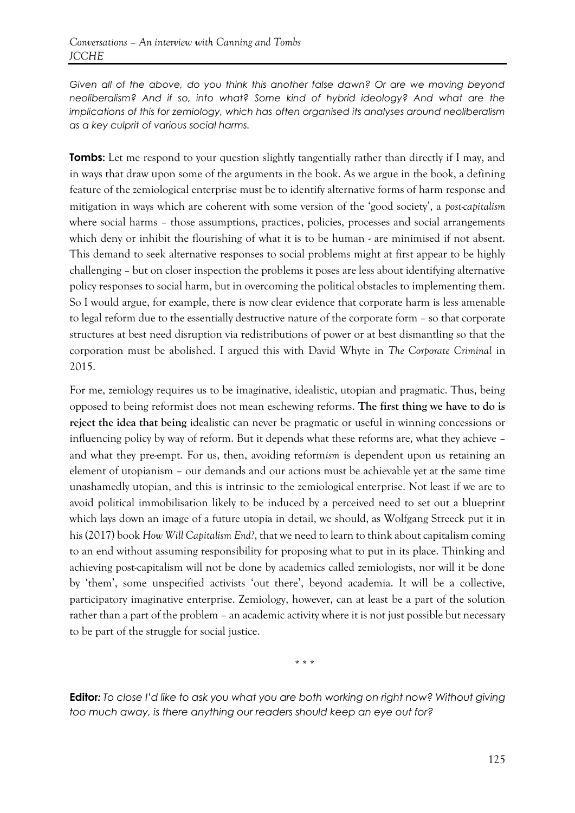*Given all of the above, do you think this another false dawn? Or are we moving beyond neoliberalism? And if so, into what? Some kind of hybrid ideology? And what are the implications of this for zemiology, which has often organised its analyses around neoliberalism as a key culprit of various social harms.* 

**Tombs:** Let me respond to your question slightly tangentially rather than directly if I may, and in ways that draw upon some of the arguments in the book. As we argue in the book, a defining feature of the zemiological enterprise must be to identify alternative forms of harm response and mitigation in ways which are coherent with some version of the 'good society', a *post-capitalism* where social harms - those assumptions, practices, policies, processes and social arrangements which deny or inhibit the flourishing of what it is to be human - are minimised if not absent. This demand to seek alternative responses to social problems might at first appear to be highly challenging – but on closer inspection the problems it poses are less about identifying alternative policy responses to social harm, but in overcoming the political obstacles to implementing them. So I would argue, for example, there is now clear evidence that corporate harm is less amenable to legal reform due to the essentially destructive nature of the corporate form – so that corporate structures at best need disruption via redistributions of power or at best dismantling so that the corporation must be abolished. I argued this with David Whyte in *The Corporate Criminal* in 2015.

For me, zemiology requires us to be imaginative, idealistic, utopian and pragmatic. Thus, being opposed to being reformist does not mean eschewing reforms. **The first thing we have to do is reject the idea that being** idealistic can never be pragmatic or useful in winning concessions or influencing policy by way of reform. But it depends what these reforms are, what they achieve – and what they pre-empt. For us, then, avoiding reform*ism* is dependent upon us retaining an element of utopianism – our demands and our actions must be achievable yet at the same time unashamedly utopian, and this is intrinsic to the zemiological enterprise. Not least if we are to avoid political immobilisation likely to be induced by a perceived need to set out a blueprint which lays down an image of a future utopia in detail, we should, as Wolfgang Streeck put it in his (2017) book *How Will Capitalism End?*, that we need to learn to think about capitalism coming to an end without assuming responsibility for proposing what to put in its place. Thinking and achieving post-capitalism will not be done by academics called zemiologists, nor will it be done by 'them', some unspecified activists 'out there', beyond academia. It will be a collective, participatory imaginative enterprise. Zemiology, however, can at least be a part of the solution rather than a part of the problem – an academic activity where it is not just possible but necessary to be part of the struggle for social justice.

\* \* \*

**Editor***: To close I'd like to ask you what you are both working on right now? Without giving too much away, is there anything our readers should keep an eye out for?*